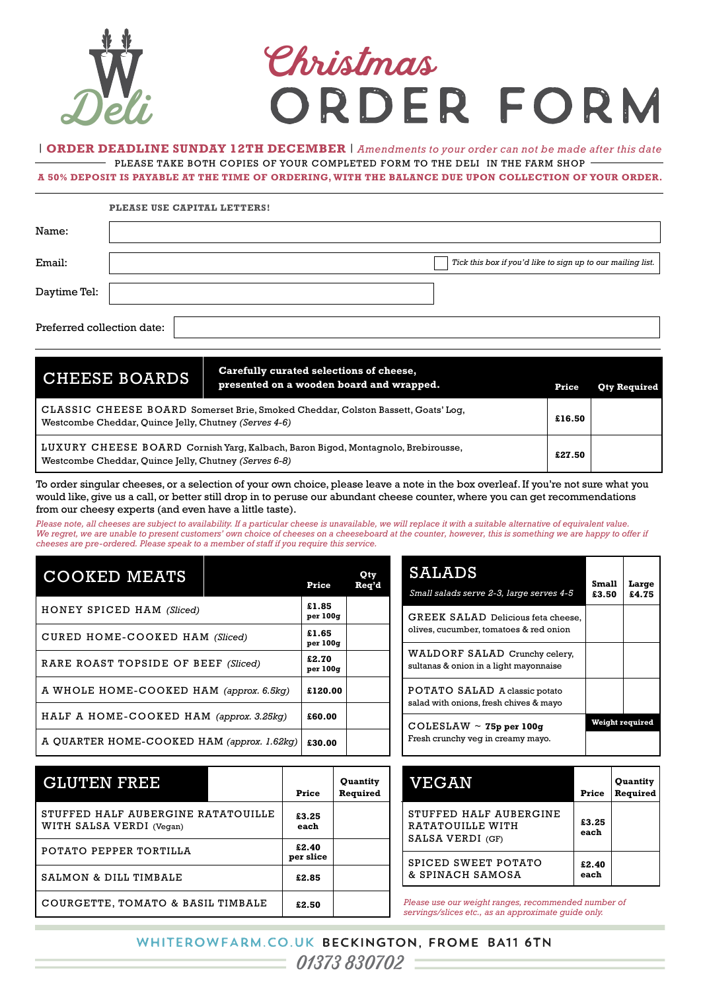

## Christmas<br>ORDER FORM

| **ORDER DEADLINE SUNDAY 12TH DECEMBER** | *Amendments to your order can not be made after this date* - PLEASE TAKE BOTH COPIES OF YOUR COMPLETED FORM TO THE DELI IN THE FARM SHOP  $-$ 

**A 50% DEPOSIT IS PAYABLE AT THE TIME OF ORDERING, WITH THE BALANCE DUE UPON COLLECTION OF YOUR ORDER.**

|                            | PLEASE USE CAPITAL LETTERS!                                 |
|----------------------------|-------------------------------------------------------------|
| Name:                      |                                                             |
| Email:                     | Tick this box if you'd like to sign up to our mailing list. |
| Daytime Tel:               |                                                             |
| Preferred collection date: |                                                             |

CLASSIC CHEESE BOARD Somerset Brie, Smoked Cheddar, Colston Bassett, Goats' Log, Westcombe Cheddar, Quince Jelly, Chutney *(Serves 4-6)* LUXURY CHEESE BOARD Cornish Yarg, Kalbach, Baron Bigod, Montagnolo, Brebirousse, Westcombe Cheddar, Quince Jelly, Chutney *(Serves 6-8)* CHEESE BOARDS **Price Qty Required presented on a wooden board and wrapped. £16.50 £27.50 Carefully curated selections of cheese,** 

To order singular cheeses, or a selection of your own choice, please leave a note in the box overleaf. If you're not sure what you would like, give us a call, or better still drop in to peruse our abundant cheese counter, where you can get recommendations from our cheesy experts (and even have a little taste).

*Please note, all cheeses are subject to availability. If a particular cheese is unavailable, we will replace it with a suitable alternative of equivalent value.*  We regret, we are unable to present customers' own choice of cheeses on a cheeseboard at the counter, however, this is something we are happy to offer if *cheeses are pre-ordered. Please speak to a member of staff if you require this service.*

| <b>COOKED MEATS</b>                        |  | Price             | Qty<br>Req'd |
|--------------------------------------------|--|-------------------|--------------|
| HONEY SPICED HAM (Sliced)                  |  | £1.85<br>per 100q |              |
| CURED HOME-COOKED HAM (Sliced)             |  | £1.65<br>per 100q |              |
| RARE ROAST TOPSIDE OF BEEF (Sliced)        |  | £2.70<br>per 100g |              |
| A WHOLE HOME-COOKED HAM (approx. 6.5kg)    |  | £120.00           |              |
| HALF A HOME-COOKED HAM (approx. 3.25kg)    |  | £60.00            |              |
| A QUARTER HOME-COOKED HAM (approx. 1.62kg) |  | £30.00            |              |

| SALADS<br>Small salads serve 2-3, large serves 4-5                           | Small<br>£3.50  | Large<br>£4.75 |
|------------------------------------------------------------------------------|-----------------|----------------|
| GREEK SALAD Delicious feta cheese,<br>olives, cucumber, tomatoes & red onion |                 |                |
| WALDORF SALAD Crunchy celery,<br>sultanas & onion in a light mayonnaise      |                 |                |
| POTATO SALAD A classic potato<br>salad with onions, fresh chives & mayo      |                 |                |
| $COLESLAW \sim 75p$ per 100g<br>Fresh crunchy veg in creamy mayo.            | Weight required |                |

| <b>GLUTEN FREE</b>                                             |  | Price              | Quantity<br>Required                       | <b>VEGAN</b>                                                                                               | Price         | Quantity<br>Required |
|----------------------------------------------------------------|--|--------------------|--------------------------------------------|------------------------------------------------------------------------------------------------------------|---------------|----------------------|
| STUFFED HALF AUBERGINE RATATOUILLE<br>WITH SALSA VERDI (Vegan) |  | £3.25<br>each      | STUFFED HALF AUBERGINE<br>RATATOUILLE WITH |                                                                                                            | £3.25<br>each |                      |
| POTATO PEPPER TORTILLA                                         |  | £2.40<br>per slice |                                            | SALSA VERDI (GF)<br>SPICED SWEET POTATO                                                                    |               |                      |
| SALMON & DILL TIMBALE                                          |  | £2.85              | & SPINACH SAMOSA                           |                                                                                                            | £2.40<br>each |                      |
| COURGETTE, TOMATO & BASIL TIMBALE                              |  | £2.50              |                                            | Please use our weight ranges, recommended number of<br>servings/slices etc., as an approximate quide only. |               |                      |

| VEGAN                                                          | Price         | <b>Ouantity</b><br>Required |
|----------------------------------------------------------------|---------------|-----------------------------|
| STUFFED HALF AUBERGINE<br>RATATOUILLE WITH<br>SALSA VERDI (GF) | £3.25<br>each |                             |
| SPICED SWEET POTATO<br>& SPINACH SAMOSA                        | £2.40<br>each |                             |

WHITEROWFARM.CO.UK BECKINGTON, FROME BA11 6TN  $\frac{1}{1}$  01373 830702  $\equiv$